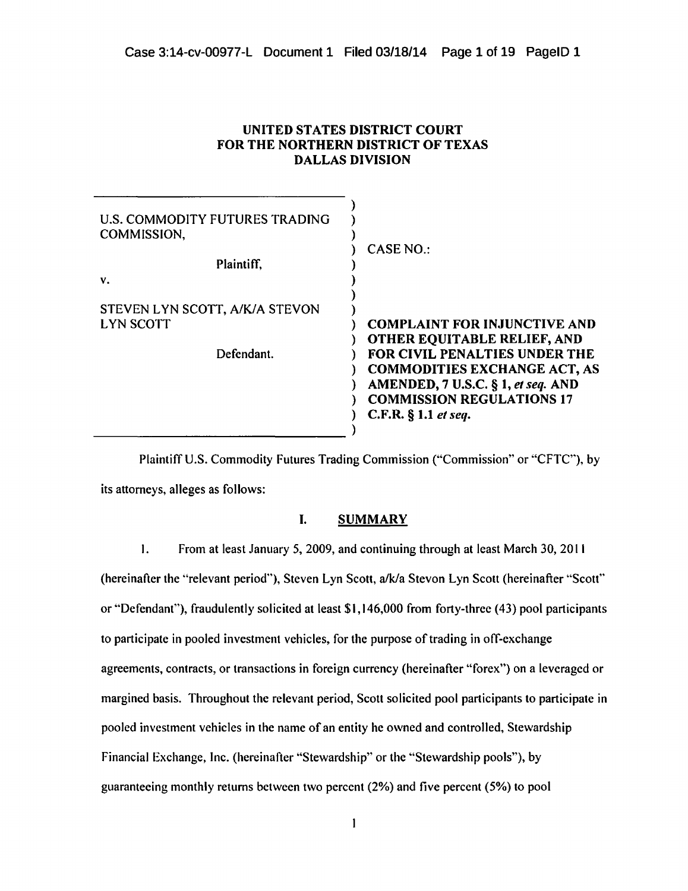| U.S. COMMODITY FUTURES TRADING<br>COMMISSION, |                                                                           |
|-----------------------------------------------|---------------------------------------------------------------------------|
| Plaintiff,                                    | CASE NO.:                                                                 |
| v.                                            |                                                                           |
| STEVEN LYN SCOTT, A/K/A STEVON                |                                                                           |
| <b>LYN SCOTT</b>                              | <b>COMPLAINT FOR INJUNCTIVE AND</b><br><b>OTHER EQUITABLE RELIEF, AND</b> |
| Defendant.                                    | FOR CIVIL PENALTIES UNDER THE                                             |
|                                               | <b>COMMODITIES EXCHANGE ACT, AS</b><br>AMENDED, 7 U.S.C. § 1, et seq. AND |
|                                               | <b>COMMISSION REGULATIONS 17</b>                                          |
|                                               | C.F.R. $§$ 1.1 et seq.                                                    |
|                                               |                                                                           |

UNITED STATES DISTRICT COURT FOR THE NORTHERN DISTRICT OF TEXAS DALLAS DIVISION

Plaintiff U.S. Commodity Futures Trading Commission ("Commission" or "CFTC''), by its attorneys, alleges as follows:

# I. SUMMARY

I. From at least January 5, 2009, and continuing through at least March 30, 20 II

(hereinafter the "relevant period''), Steven Lyn Scott, *alkla* Stevon Lyn Scott (hereinafter "Scott''

or "Defendant"), fraudulently solicited at least \$1,146,000 from forty-three (43) pool participants

to participate in pooled investment vehicles, for the purpose of trading in off-exchange

agreements, contracts, or transactions in foreign currency (hereinafter "forex") on a leveraged or margined basis. Throughout the relevant period, Scott solicited pool participants to participate in pooled investment vehicles in the name of an entity he owned and controlled, Stewardship Financial Exchange, Inc. (hereinafter "Stewardship" or the "Stewardship pools"), by

guaranteeing monthly returns between two percent (2%) and five percent (5%) to pool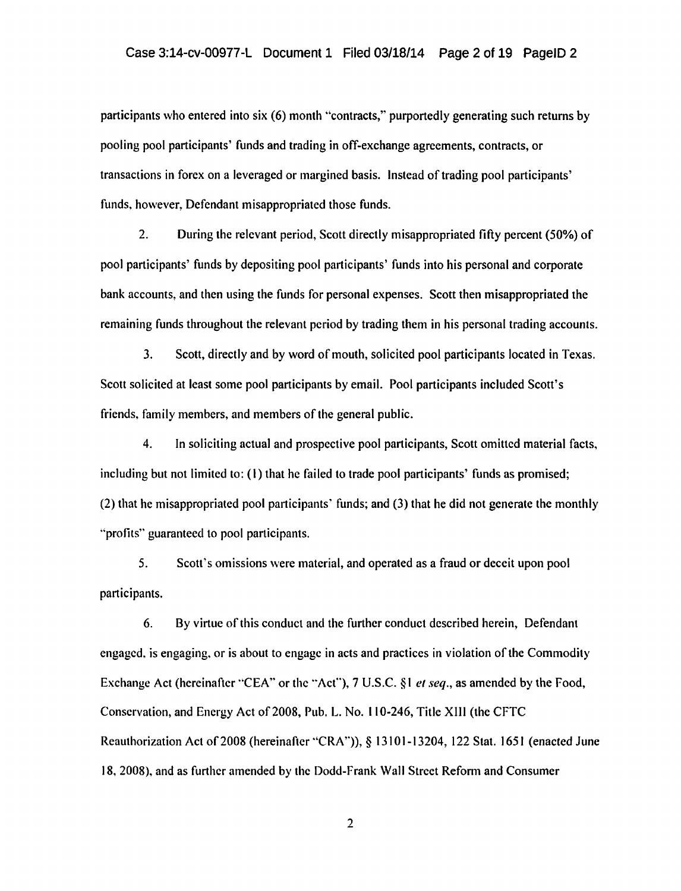participants who entered into six (6) month "contracts," purportedly generating such returns by pooling pool participants' funds and trading in off-exchange agreements, contracts, or transactions in forex on a leveraged or margined basis. Instead of trading pool participants' funds, however, Defendant misappropriated those funds.

2. During the relevant period, Scott directly misappropriated fifty percent (50%) of pool participants' funds by depositing pool participants' funds into his personal and corporate bank accounts, and then using the funds for personal expenses. Scott then misappropriated the remaining funds throughout the relevant period by trading them in his personal trading accounts.

3. Scott, directly and by word of mouth, solicited pool participants located in Texas. Scott solicited at least some pool participants by email. Pool participants included Scott's friends, family members, and members of the general public.

4. In soliciting actual and prospective pool participants, Scott omitted material facts, including but not limited to: (I) that he failed to trade pool participants' funds as promised; (2) that he misappropriated pool participants' funds; and (3) that he did not generate the monthly ''profits'' guaranteed to pool participants.

5. Scott's omissions were material, and operated as a fraud or deceit upon pool participants.

6. By virtue of this conduct and the further conduct described herein, Defendant engaged. is engaging. or is about to engage in acts and practices in violation of the Commodity Exchange Act (hereinafter "CEA" or the "Act"), 7 U.S.C. §1 *et seq.*, as amended by the Food, Conservation, and Energy Act of 2008, Pub. L. No. II 0-246, Title XIII (the CFTC Reauthorization Act of 2008 (hereinafter "CRA")), § 13101-13204, 122 Stat. 1651 (enacted June 18, 2008), and as further amended by the Dodd-Frank Wall Street Reform and Consumer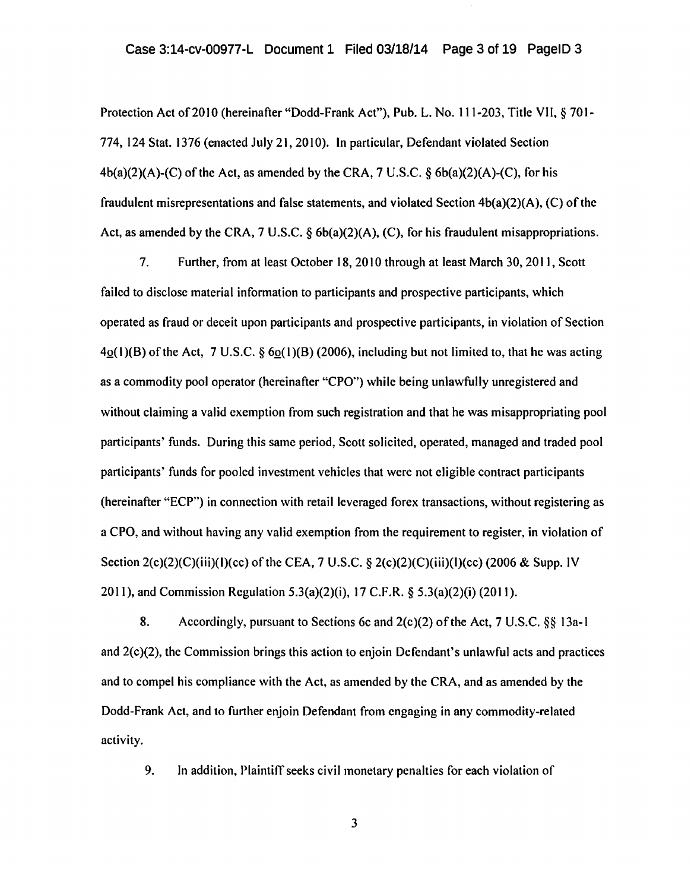Protection Act of 2010 (hereinafter "Dodd-Frank Act"), Pub. L. No. 111-203, Title VII, § 701-774, 124 Stat. 1376 (enacted July 21, 2010). In particular, Defendant violated Section 4b(a)(2)(A)-(C) of the Act, as amended by the CRA, 7 U.S.C. *§* 6b(a)(2)(A)-(C), for his fraudulent misrepresentations and false statements, and violated Section 4b(a)(2)(A), (C) of the Act, as amended by the CRA, 7 U.S.C.  $\S$  6b(a)(2)(A), (C), for his fraudulent misappropriations.

7. Further, from at least October 18, 2010 through at least March 30, 2011, Scott failed to disclose material information to participants and prospective participants, which operated as fraud or deceit upon participants and prospective participants, in violation of Section  $4o(1)(B)$  of the Act, 7 U.S.C. §  $6o(1)(B)$  (2006), including but not limited to, that he was acting as a commodity pool operator (hereinafter "CPO") while being unlawfully unregistered and without claiming a valid exemption from such registration and that he was misappropriating pool participants' funds. During this same period, Scott solicited, operated, managed and traded pool participants' funds for pooled investment vehicles that were not eligible contract participants (hereinafter "ECP") in connection with retail leveraged forex transactions, without registering as a CPO, and without having any valid exemption from the requirement to register, in violation of Section  $2(c)(2)(c)(ii)(1)(cc)$  of the CEA, 7 U.S.C. §  $2(c)(2)(c)(iii)(1)(cc)$  (2006 & Supp. IV 2011), and Commission Regulation 5.3(a)(2)(i), 17 C.F.R. *§* 5.3(a)(2)(i) (2011).

8. Accordingly, pursuant to Sections 6c and 2(c)(2) ofthe Act, 7 U.S.C. *§§* 13a-1 and 2(c)(2), the Commission brings this action to enjoin Defendant's unlawful acts and practices and to compel his compliance with the Act, as amended by the CRA, and as amended by the Dodd-Frank Act, and to further enjoin Defendant from engaging in any commodity-related activity.

9. In addition, Plaintiff seeks civil monetary penalties for each violation of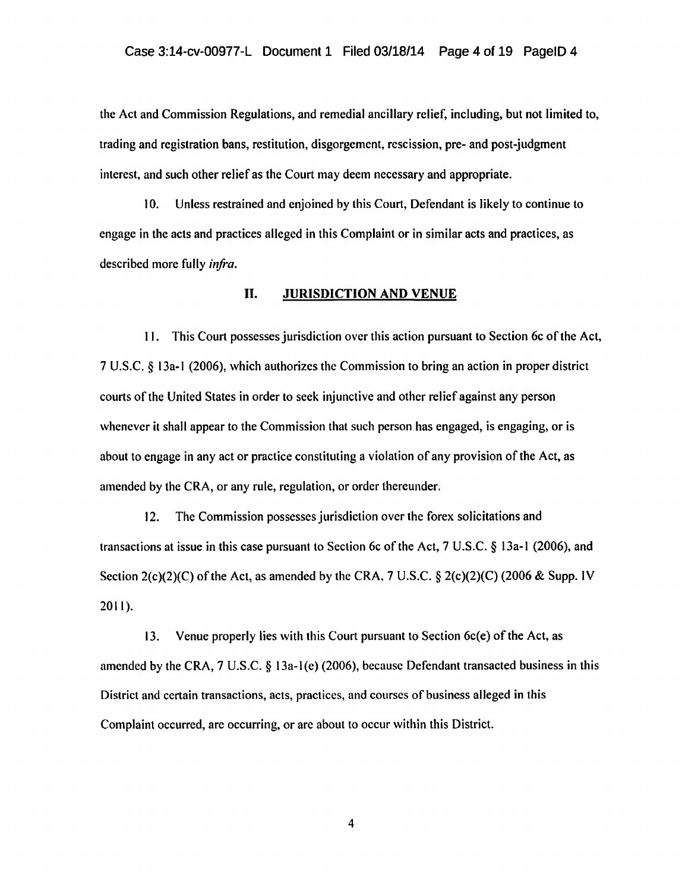the Act and Commission Regulations, and remedial ancillary relief, including, but not limited to, trading and registration bans, restitution, disgorgement, rescission, pre- and post-judgment interest, and such other relief as the Court may *deem* necessary and appropriate.

I 0. Unless restrained and enjoined by this Court, Defendant is likely to continue to engage in the acts and practices alleged in this Complaint or in similar acts and practices, as described more fully *infra.* 

#### II. JURISDICTION AND VENUE

II. This Court possesses jurisdiction over this action pursuant to Section 6c of the Act, 7 U.S.C. *§* 13a-1 (2006), which authorizes the Commission to bring an action in proper district courts of the United States in order to seek injunctive and other relief against any person whenever it shall appear to the Commission that such person has engaged, is engaging, or is about to engage in any act or practice constituting a violation of any provision of the Act, as amended by the CRA, or any rule, regulation, or order thereunder.

12. The Commission possesses jurisdiction over the forex solicitations and transactions at issue in this case pursuant to Section 6c of the Act, 7 U.S.C. *§* 13a-l (2006), and Section  $2(c)(2)(C)$  of the Act, as amended by the CRA, 7 U.S.C. §  $2(c)(2)(C)$  (2006 & Supp. IV 2011).

13. Venue properly lies with this Court pursuant to Section 6c(e) ofthe Act, as amended by the CRA, 7 U.S.C. § 13a-l(e) (2006), because Defendant transacted business in this District and certain transactions, acts, practices, and courses of business alleged in this Complaint occurred, are occurring, or arc about to occur within this District.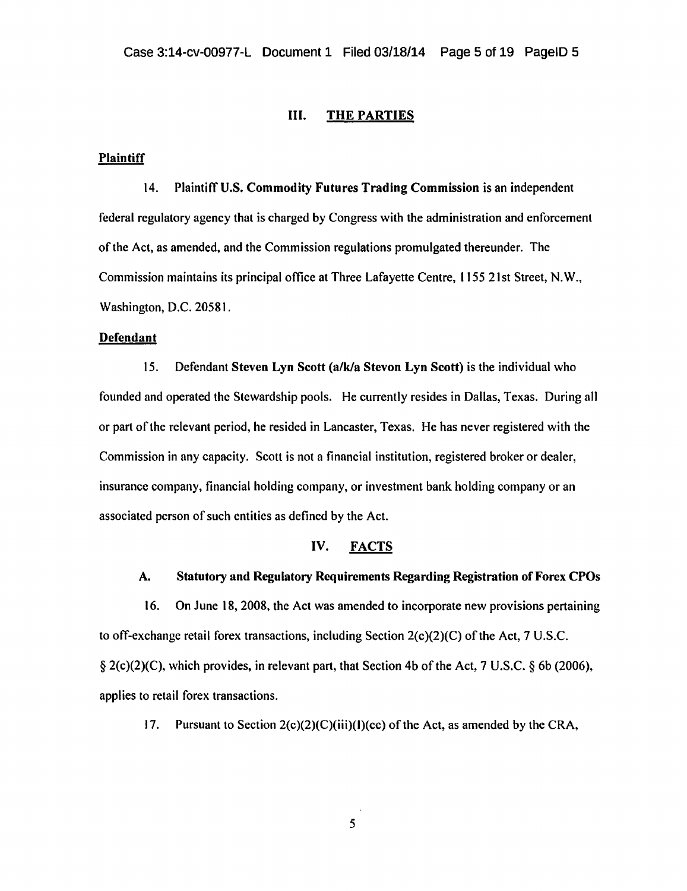#### III. THE PARTIES

#### **Plaintiff**

14. Plaintiff U.S. Commodity Futures Trading Commission is an independent federal regulatory agency that is charged by Congress with the administration and enforcement of the Act, as amended, and the Commission regulations promulgated thereunder. The Commission maintains its principal office at Three Lafayette Centre, 1155 21st Street, N. W., Washington, D.C. 20581.

## Defendant

15. Defendant Steven Lyn Scott (a/k/a Stevon Lyn Scott) is the individual who founded and operated the Stewardship pools. He currently resides in Dallas, Texas. During all or part of the relevant period, he resided in Lancaster, Texas. He has never registered with the Commission in any capacity. Scott is not a financial institution, registered broker or dealer, insurance company, financial holding company, or investment bank holding company or an associated person of such entities as defined by the Act.

## IV. FACTS

# A. Statutory and Regulatory Requirements Regarding Registration of Forex CPOs

16. On June 18, 2008, the Act was amended to incorporate new provisions pertaining to off-exchange retail forex transactions, including Section 2(c)(2)(C) of the Act, 7 U.S.C. § 2(c)(2)(C), which provides, in relevant part, that Section 4b of the Act, 7 U.S.C. § 6b (2006}, applies to retail forex transactions.

17. Pursuant to Section  $2(c)(2)(C)(iii)(l)(cc)$  of the Act, as amended by the CRA,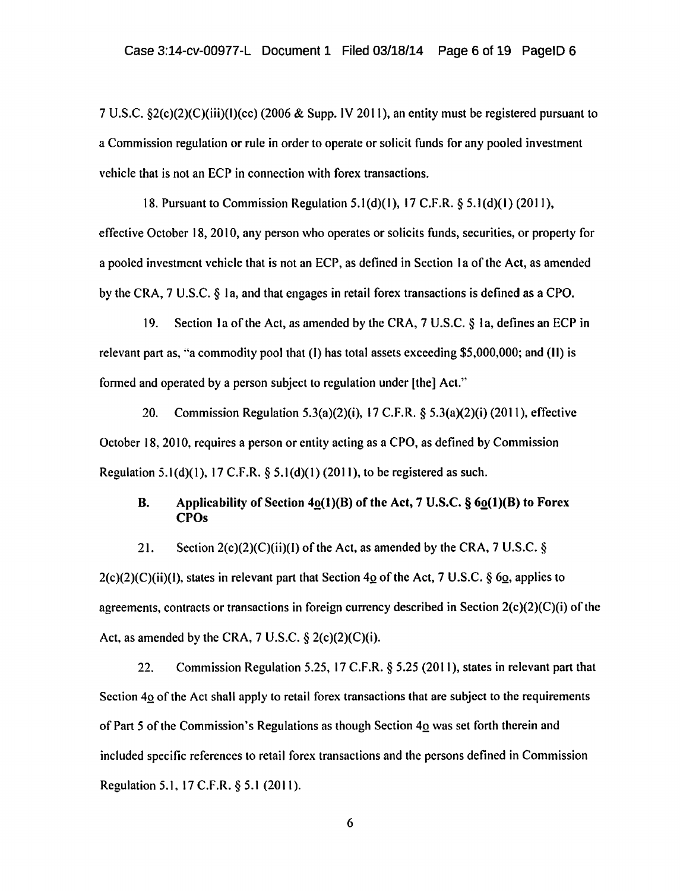7 U.S.C. §2(c)(2)(C)(iii)(l)(cc) (2006 & Supp. IV 2011), an entity must be registered pursuant to a Commission regulation or rule in order to operate or solicit funds for any pooled investment vehicle that is not an ECP in connection with forex transactions.

18. Pursuant to Commission Regulation 5.1(d)(1), 17 C.F.R. § 5.1(d)(1) (2011), effective October 18, 2010, any person who operates or solicits funds, securities, or property for a pooled investment vehicle that is not an ECP, as defined in Section I a of the Act, as amended by the CRA, 7 U.S.C. *§* Ia, and that engages in retail forex transactions is defined as a CPO.

19. Section 1a of the Act, as amended by the CRA, 7 U.S.C. § 1a, defines an ECP in relevant part as, "a commodity pool that  $(I)$  has total assets exceeding \$5,000,000; and  $(II)$  is formed and operated by a person subject to regulation under [the] Act."

20. Commission Regulation 5.3(a)(2)(i), 17 C.F.R.  $\delta$  5.3(a)(2)(i) (2011), effective October 18, 2010, requires a person or entity acting as a CPO, as defined by Commission Regulation 5.1(d)(l), 17 C.F.R. *§* 5.l(d)(l) (2011), to be registered as such.

# B. Applicability of Section  $4o(1)(B)$  of the Act, 7 U.S.C.  $\S 6o(1)(B)$  to Forex CPOs

21. Section  $2(c)(2)(C)(ii)(I)$  of the Act, as amended by the CRA, 7 U.S.C. §

 $2(c)(2)(C)(ii)(1)$ , states in relevant part that Section 40 of the Act, 7 U.S.C. § 60, applies to agreements, contracts or transactions in foreign currency described in Section 2(c)(2)(C)(i) of the Act, as amended by the CRA,  $7 \text{ U.S.C.} \$ § 2(c)(2)(C)(i).

22. Commission Regulation 5.25, 17 C.F.R. § 5.25 (2011), states in relevant part that Section 40 of the Act shall apply to retail forex transactions that are subject to the requirements of Part 5 of the Commission's Regulations as though Section 40 was set forth therein and included specific references to retail forex transactions and the persons defined in Commission Regulation 5.1, 17 C.F.R. § 5.1 (2011).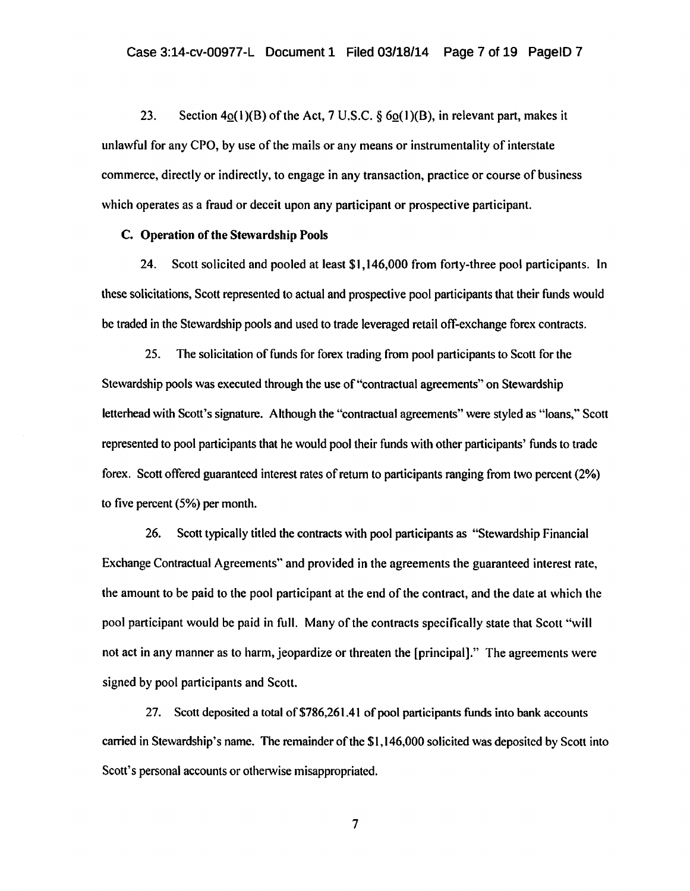23. Section  $4\Omega(1)(B)$  of the Act, 7 U.S.C. § 6 $\Omega(1)(B)$ , in relevant part, makes it unlawful for any CPO, by use of the mails or any means or instrumentality of interstate commerce, directly or indirectly, to engage in any transaction, practice or course of business which operates as a fraud or deceit upon any participant or prospective participant.

#### C. Operation of the Stewardship Pools

24. Scott solicited and pooled at least \$1,146,000 from forty-three pool participants. In these solicitations, Scott represented to actual and prospective pool participants that their funds would be traded in the Stewardship pools and used to trade leveraged retail off-exchange forex contracts.

25. The solicitation of funds for forex trading from pool participants to Scott for the Stewardship pools was executed through the use of"contractual agreements" on Stewardship letterhead with Scott's signature. Although the "contractual agreements" were styled as "loans," Scott represented to pool participants that he would pool their funds with other participants' funds to trade forex. Scott offered guaranteed interest rates of return to participants ranging from two percent (2%) to five percent (5%) per month.

26. Scott typically titled the contracts with pool participants as "Stewardship Financial Exchange Contractual Agreements" and provided in the agreements the guaranteed interest rate, the amount to be paid to the pool participant at the end of the contract, and the date at which the pool participant would be paid in full. Many of the contracts specifically state that Scott "will not act in any manner as to harm, jeopardize or threaten the [principal]." The agreements were signed by pool participants and Scott.

27. Scott deposited a total of\$786,261.41 of pool participants funds into bank accounts carried in Stewardship's name. The remainder of the \$1,146,000 solicited was deposited by Scott into Scott's personal accounts or otherwise misappropriated.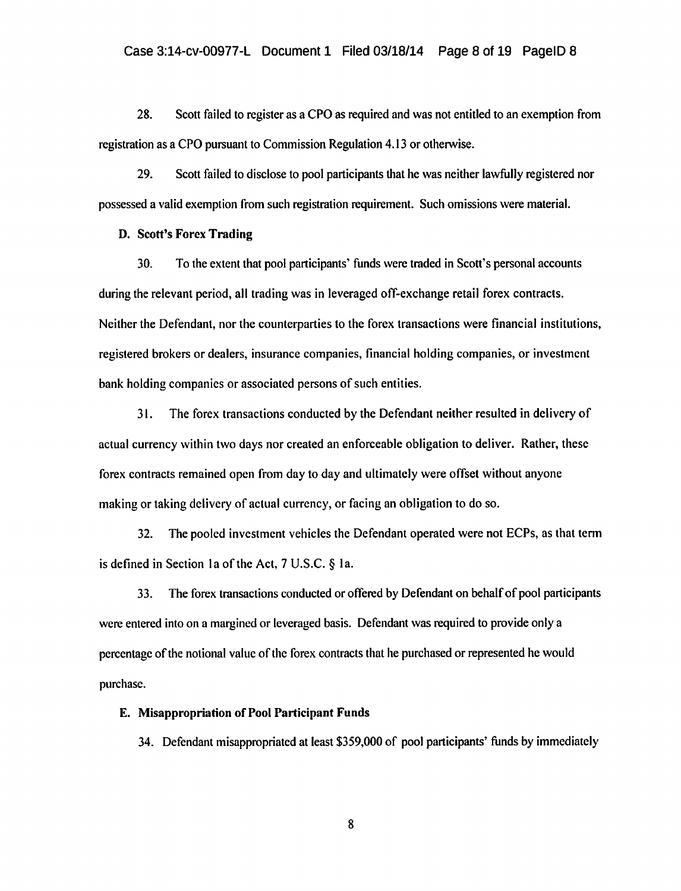28. Scott failed to register as a CPO as required and was not entitled to an exemption from registration as a CPO pursuant to Commission Regulation 4.13 or otherwise.

29. Scott failed to disclose to pool participants that he was neither lawfully registered nor possessed a valid exemption from such registration requirement. Such omissions were material.

# D. Scott's Forcx Trading

30. To the extent that pool participants' funds were traded in Scott's personal accounts during the relevant period, all trading was in leveraged off-exchange retail forex contracts. Neither the Defendant, nor the counterparties to the forex transactions were financial institutions, registered brokers or dealers, insurance companies, financial holding companies, or investment bank holding companies or associated persons of such entities.

31. The forex transactions conducted by the Defendant neither resulted in delivery of actual currency within two days nor created an enforceable obligation to deliver. Rather, these forex contracts remained open from day to day and ultimately were offset without anyone making or taking delivery of actual currency, or facing an obligation to do so.

32. The pooled investment vehicles the Defendant operated were not ECPs, as that term is defined in Section Ia of the Act, 7 U.S.C. § Ia.

33. The forex transactions conducted or offered by Defendant on behalf of pool participants were entered into on a margined or leveraged basis. Defendant was required to provide only a percentage of the notional value of the forex contracts that he purchased or represented he would purchase.

#### E. Misappropriation of Pool Participant Funds

34. Defendant misappropriated at least \$359,000 of pool participants' funds by immediately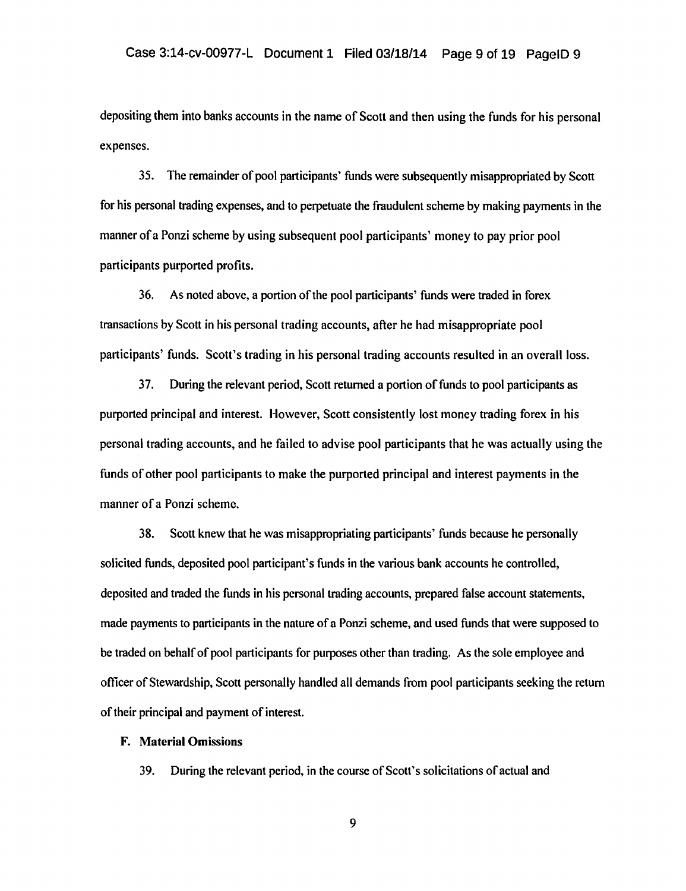depositing them into banks accounts in the name of Scott and then using the funds for his personal expenses.

35. The remainder of pool participants' funds were subsequently misappropriated by Scott for his personal trading expenses, and to perpetuate the fraudulent scheme by making payments in the manner of a Ponzi scheme by using subsequent pool participants' money to pay prior pool participants purported profits.

36. As noted above, a portion of the pool participants' funds were traded in forex transactions by Scott in his personal trading accounts, after he had misappropriate pool participants' funds. Scott's trading in his personal trading accounts resulted in an overall loss.

37. During the relevant period, Scott returned a portion of funds to pool participants as purported principal and interest. However, Scott consistently lost money trading forex in his personal trading accounts, and he failed to advise pool participants that he was actually using the funds of other pool participants to make the purported principal and interest payments in the manner of a Ponzi scheme.

38. Scott knew that he was misappropriating participants' funds because he personally solicited funds, deposited pool participant's funds in the various bank accounts he controlled, deposited and traded the funds in his personal trading accounts, prepared false account statements, made payments to participants in the nature of a Ponzi scheme, and used funds that were supposed to be traded on behalf of pool participants for purposes other than trading. As the sole employee and officer of Stewardship, Scott personally handled all demands from pool participants seeking the return of their principal and payment of interest.

#### F. Material Omissions

39. During the relevant period, in the course of Scott's solicitations of actual and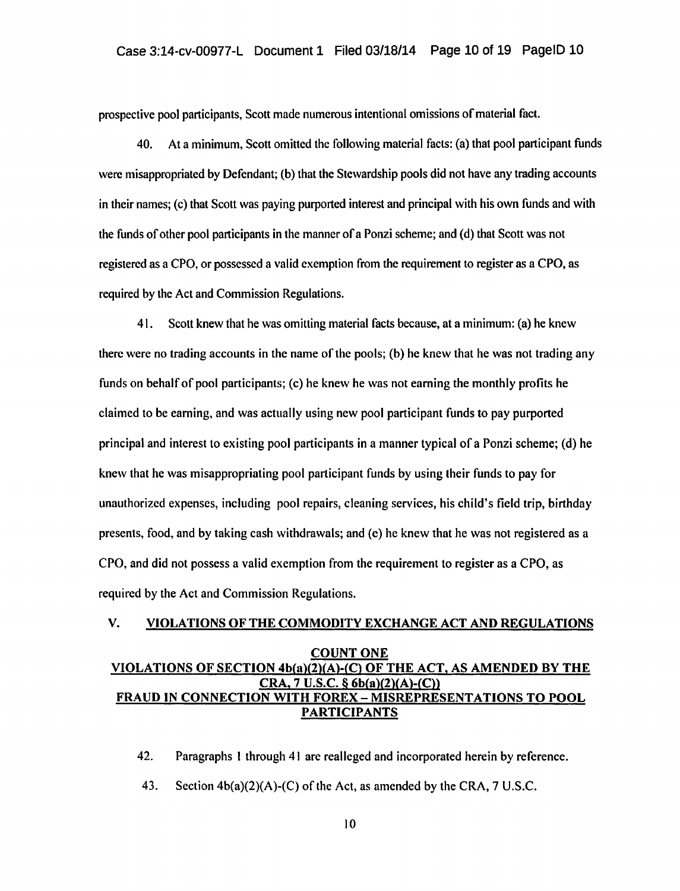prospective pool participants, Scott made numerous intentional omissions of material fact.

40. At a minimum, Scott omitted the following material facts: (a) that pool participant funds were misappropriated by Defendant; (b) that the Stewardship pools did not have any trading accounts in their names; (c) that Scott was paying purported interest and principal with his own funds and with the funds of other pool participants in the manner of a Ponzi scheme; and (d) that Scott was not registered as a CPO, or possessed a valid exemption from the requirement to register as a CPO, as required by the Act and Commission Regulations.

41. Scott knew that he was omitting material facts because, at a minimum: (a) he knew there were no trading accounts in the name of the pools; (b) he knew that he was not trading any funds on behalf of pool participants; (c) he knew he was not earning the monthly profits he claimed to be earning, and was actually using new pool participant funds to pay purported principal and interest to existing pool participants in a manner typical of a Ponzi scheme; (d) he knew that he was misappropriating pool participant funds by using their funds to pay for unauthorized expenses, including pool repairs, cleaning services, his child's field trip, birthday presents, food, and by taking cash withdrawals; and (c) he knew that he was not registered as a CPO, and did not possess a valid exemption from the requirement to register as a CPO, as required by the Act and Commission Regulations.

# V. VIOLATIONS OF THE COMMODITY EXCHANGE ACT AND REGULATIONS COUNT ONE VIOLATIONS OF SECTION 4b(a)(2)(A)-(C) OF THE ACT, AS AMENDED BY THE  $CRA$ , 7 U.S.C. § 6b(a)(2)(A)-(C)) FRAUD IN CONNECTION WITH FOREX- MISREPRESENTATIONS TO POOL PARTICIPANTS

42. Paragraphs I through 41 are realleged and incorporated herein by reference.

43. Section 4b(a)(2)(A)-(C) of the Act, as amended by the CRA, 7 U.S.C.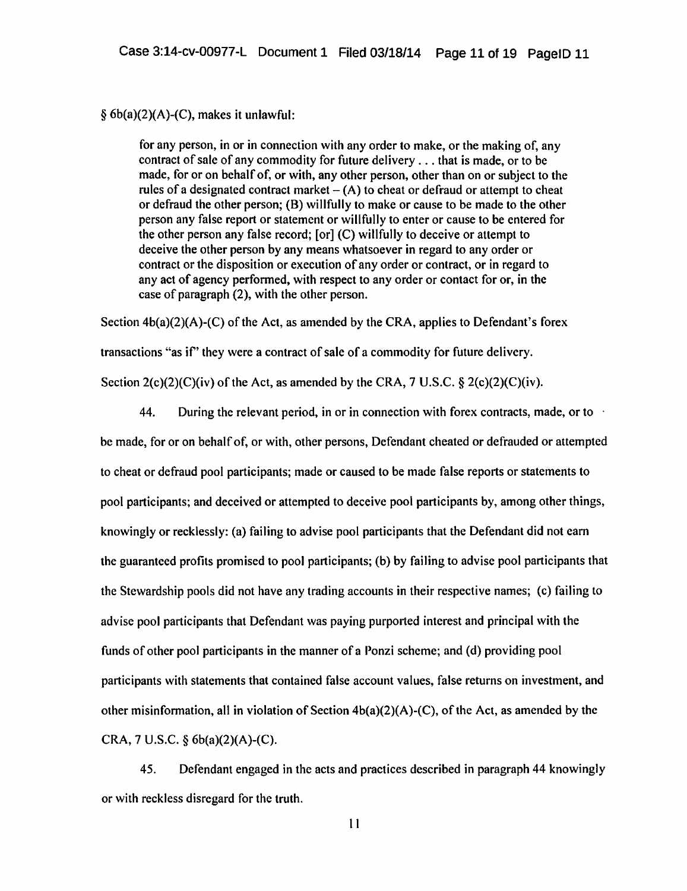#### *§* 6b(a)(2)(A)-(C), makes it unlawful:

for any person, in or in connection with any order to make, or the making of, any contract of sale of any commodity for future delivery ... that is made, or to be made, for or on behalf of, or with, any other person, other than on or subject to the rules of a designated contract market  $- (A)$  to cheat or defraud or attempt to cheat or defraud the other person; (B) willfully to make or cause to be made to the other person any false report or statement or willfully to enter or cause to be entered for the other person any false record; [or] (C) willfully to deceive or attempt to deceive the other person by any means whatsoever in regard to any order or contract or the disposition or execution of any order or contract, or in regard to any act of agency performed, with respect to any order or contact for or, in the case of paragraph (2), with the other person.

Section  $4b(a)(2)(A)-(C)$  of the Act, as amended by the CRA, applies to Defendant's forex transactions "as if" they were a contract of sale of a commodity for future delivery. Section  $2(c)(2)(C)(iv)$  of the Act, as amended by the CRA, 7 U.S.C. §  $2(c)(2)(C)(iv)$ .

44. During the relevant period, in or in connection with forex contracts, made, or to be made, for or on behalf of, or with, other persons, Defendant cheated or defrauded or attempted to cheat or defraud pool participants; made or caused to be made false reports or statements to pool participants; and deceived or attempted to deceive pool participants by, among other things, knowingly or recklessly: (a) failing to advise pool participants that the Defendant did not earn the guaranteed profits promised to pool participants; (b) by failing to advise pool participants that the Stewardship pools did not have any trading accounts in their respective names; (c) failing to advise pool participants that Defendant was paying purported interest and principal with the funds of other pool participants in the manner of a Ponzi scheme; and (d) providing pool participants with statements that contained false account values, false returns on investment, and other misinformation, all in violation of Section  $4b(a)(2)(A)-(C)$ , of the Act, as amended by the CRA, 7 U.S.C. § 6b(a)(2)(A)-(C).

45. Defendant engaged in the acts and practices described in paragraph 44 knowingly or with reckless disregard for the truth.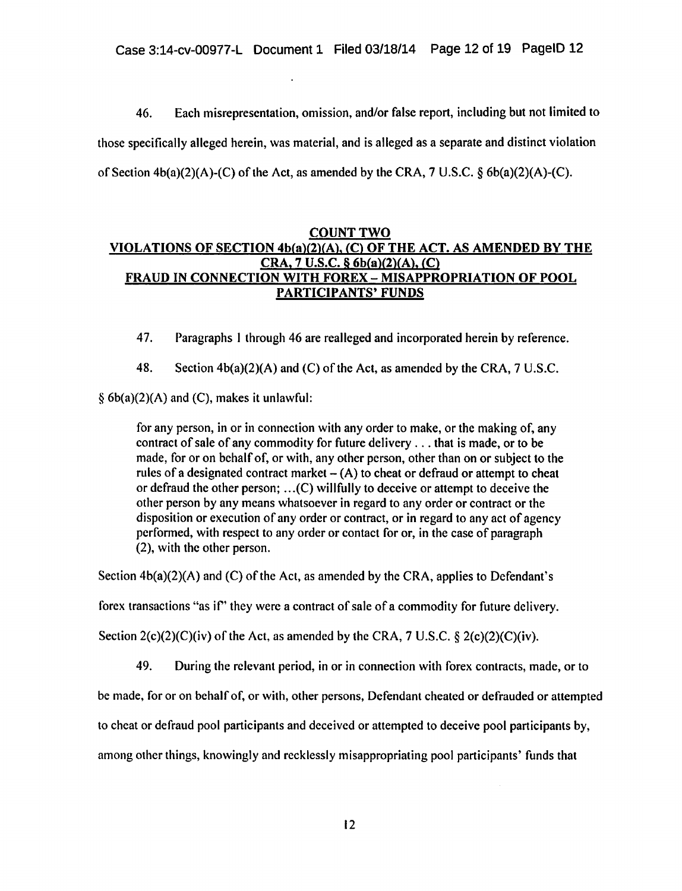46. Each misrepresentation, omission, and/or false report, including but not limited to those specifically alleged herein, was material, and is alleged as a separate and distinct violation of Section  $4b(a)(2)(A)-(C)$  of the Act, as amended by the CRA, 7 U.S.C. §  $6b(a)(2)(A)-(C)$ .

# COUNT TWO VIOLATIONS OF SECTION 4b(a)(2l(Al. (C) OF THE ACT. AS AMENDED BY THE CRA, 7 U.S.C. § 6b(a)(2)(A), (C) FRAUD IN CONNECTION WITH FOREX - MISAPPROPRIATION OF POOL PARTICIPANTS' FUNDS

47. Paragraphs I through 46 are realleged and incorporated herein by reference.

48. Section 4b(a)(2)(A) and (C) of the Act, as amended by the CRA, 7 U.S.C.

*§* 6b(a)(2)(A) and (C), makes it unlawful:

for any person, in or in connection with any order to make, or the making of, any contract of sale of any commodity for future delivery ... that is made, or to be made, for or on behalf of, or with, any other person, other than on or subject to the rules of a designated contract market  $- (A)$  to cheat or defraud or attempt to cheat or defraud the other person; ... (C) willfully to deceive or attempt to deceive the other person by any means whatsoever in regard to any order or contract or the disposition or execution of any order or contract, or in regard to any act of agency performed, with respect to any order or contact for or, in the case of paragraph (2), with the other person.

Section  $4b(a)(2)(A)$  and (C) of the Act, as amended by the CRA, applies to Defendant's

forex transactions "as if" they were a contract of sale of a commodity for future delivery.

Section  $2(c)(2)(C)(iv)$  of the Act, as amended by the CRA, 7 U.S.C. §  $2(c)(2)(C)(iv)$ .

49. During the relevant period, in or in connection with forex contracts, made, or to

be made, for or on behalf of, or with, other persons, Defendant cheated or defrauded or attempted

to cheat or defraud pool participants and deceived or attempted to deceive pool participants by,

among other things, knowingly and recklessly misappropriating pool participants' funds that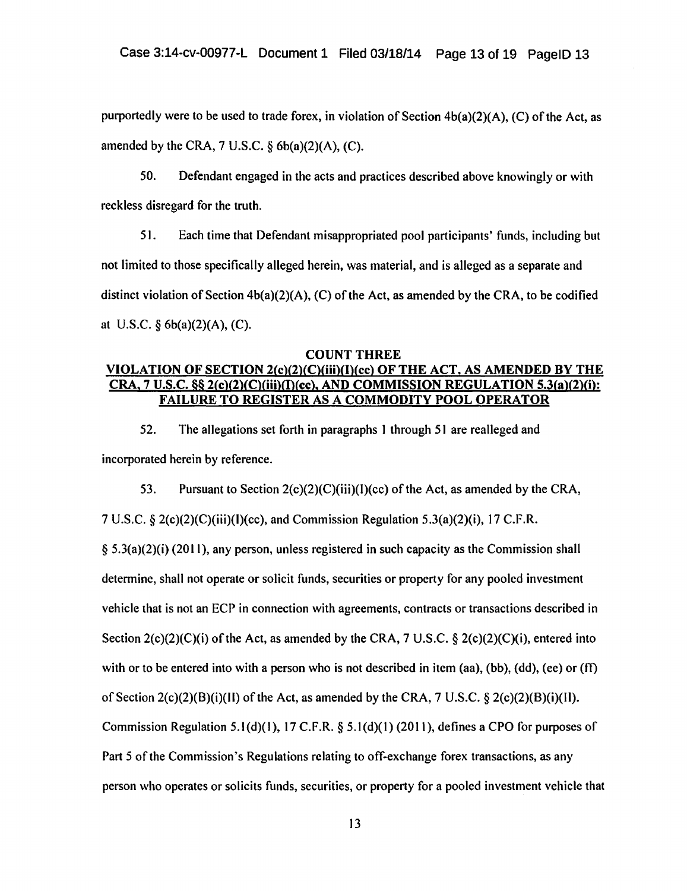purportedly were to be used to trade forex, in violation of Section 4b(a)(2)(A), (C) of the Act, as amended by the CRA,  $7 \text{ U.S.C.}$  §  $6b(a)(2)(A)$ , (C).

50. Defendant engaged in the acts and practices described above knowingly or with reckless disregard for the truth.

51. Each time that Defendant misappropriated pool participants' funds, including but not limited to those specifically alleged herein, was material, and is alleged as a separate and distinct violation of Section 4b(a)(2)(A), (C) of the Act, as amended by the CRA, to be codified at U.S.C. *§* 6b(a)(2)(A), (C).

#### COUNT THREE

# VIOLATION OF SECTION 2(c)(2)(C)(iii)(l)(cc) OF THE ACT, AS AMENDED BY THE CRA, 7 U.S.C. §§ 2(c)(2)(C)(iii)( $\Gamma$ )(cc), AND COMMISSION REGULATION 5.3(a)(2)(i): FAILURE TO REGISTER AS A COMMODITY POOL OPERATOR

52. The allegations set forth in paragraphs I through 51 are realleged and incorporated herein by reference.

53. Pursuant to Section 2(c)(2)(C)(iii)(l)(cc) of the Act, as amended by the CRA, 7 U.S.C. § 2(c)(2)(C)(iii)(l)(cc), and Commission Regulation 5.3(a)(2)(i), 17 C.F.R.  $§ 5.3(a)(2)(i)$  (2011), any person, unless registered in such capacity as the Commission shall determine, shall not operate or solicit funds, securities or property for any pooled investment vehicle that is not an ECP in connection with agreements, contracts or transactions described in Section  $2(c)(2)(C)(i)$  of the Act, as amended by the CRA, 7 U.S.C. §  $2(c)(2)(C)(i)$ , entered into

with or to be entered into with a person who is not described in item (aa), (bb), (dd), (ee) or (ff)

of Section  $2(c)(2)(B)(i)(I)$  of the Act, as amended by the CRA, 7 U.S.C. §  $2(c)(2)(B)(i)(I)$ .

Commission Regulation 5. $I(d)(1)$ , 17 C.F.R. § 5. $I(d)(1)$  (2011), defines a CPO for purposes of

Part 5 of the Commission's Regulations relating to off-exchange forex transactions, as any

person who operates or solicits funds, securities, or property for a pooled investment vehicle that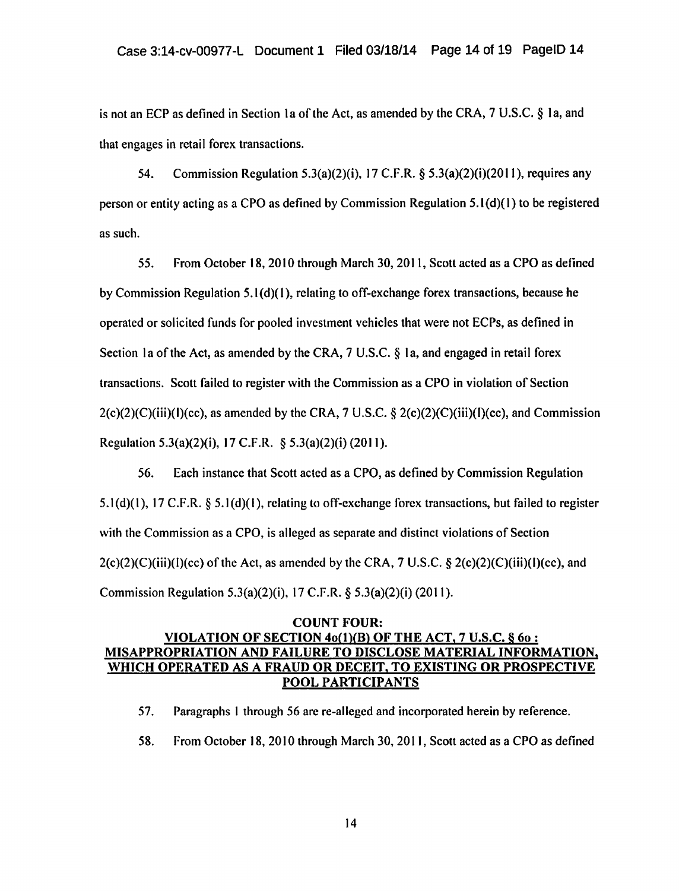is not an ECP as defined in Section la of the Act, as amended by the CRA, 7 U.S.C. § Ia, and that engages in retail forex transactions.

54. Commission Regulation 5.3(a)(2)(i), 17 C.F .R. § 5.3(a)(2)(i)(20 II), requires any person or entity acting as a CPO as defined by Commission Regulation 5.1 (d)(l) to be registered as such.

55. From October 18, 20 I 0 through March 30, 20 II, Scott acted as a CPO as defined by Commission Regulation 5.1 (d)( I), relating to off-exchange forex transactions, because he operated or solicited funds for pooled investment vehicles that were not ECPs, as defined in Section Ia ofthe Act, as amended by the CRA, 7 U.S.C. § Ia, and engaged in retail forex transactions. Scott failed to register with the Commission as a CPO in violation of Section  $2(c)(2)(C)(iii)(f)(cc)$ , as amended by the CRA, 7 U.S.C.  $\S 2(c)(2)(C)(iii)(f)(cc)$ , and Commission Regulation 5.3(a)(2)(i), 17 C.F.R. § 5.3(a)(2)(i) (2011).

56. Each instance that Scott acted as a CPO, as defined by Commission Regulation  $5.1(d)(1)$ , 17 C.F.R. §  $5.1(d)(1)$ , relating to off-exchange forex transactions, but failed to register with the Commission as a CPO, is alleged as separate and distinct violations of Section 2(c)(2)(C)(iii)(l)(cc) of the Act, as amended by the CRA, 7 U.S.C. *§* 2(c)(2)(C)(iii)(l)(cc), and Commission Regulation 5.3(a)(2)(i), 17 C.F.R. *§* 5.3(a)(2)(i) (2011).

# COUNT FOUR: VIOLATION OF SECTION  $4o(1)(B)$  OF THE ACT, 7 U.S.C. §  $6o:$ MISAPPROPRIATION AND FAILURE TO DISCLOSE MATERIAL INFORMATION, WHICH OPERATED AS A FRAUD OR DECEIT, TO EXISTING OR PROSPECTIVE POOL PARTICIPANTS

- 57. Paragraphs I through 56 are re-allcged and incorporated herein by reference.
- 58. From October 18,2010 through March 30,2011, Scott acted as a CPO as defined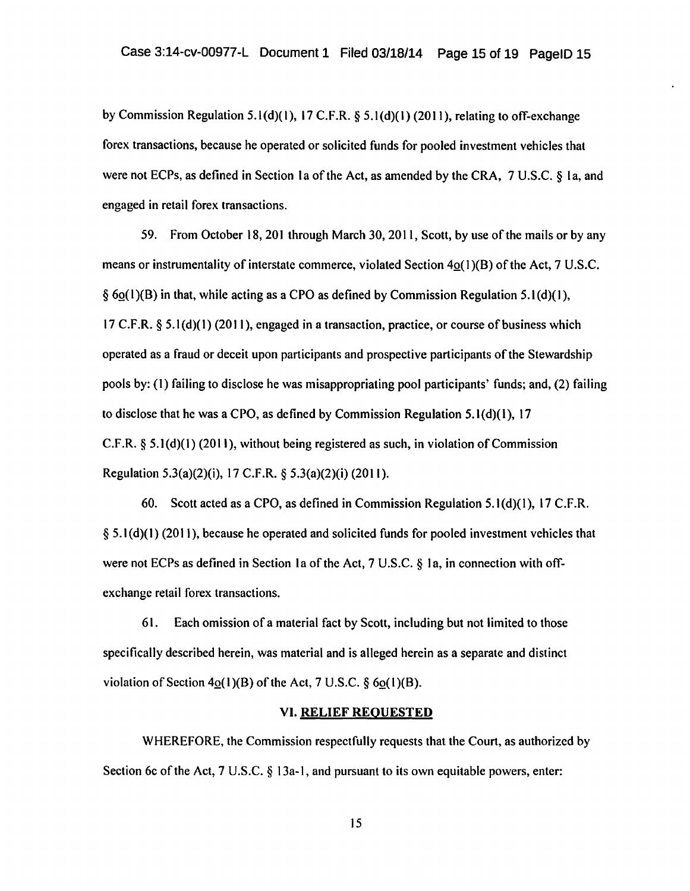by Commission Regulation 5.1(d)(l), 17 C.F.R. *§* 5.l(d)(l) (2011), relating to off-exchange forex transactions, because he operated or solicited funds for pooled investment vehicles that were not ECPs, as defined in Section 1a of the Act, as amended by the CRA,  $7 \text{ U.S.C.}$   $\&$  1a, and engaged in retail forex transactions.

59. From October 18, 201 through March 30, 20 II, Scott, by use of the mails or by any means or instrumentality of interstate commerce, violated Section 4o(1)(B) of the Act, 7 U.S.C.  $\delta$  6o(1)(B) in that, while acting as a CPO as defined by Commission Regulation 5.1(d)(1), 17 C.F.R. § 5.1(d)(1) (2011 ), engaged in a transaction, practice, or course of business which operated as a fraud or deceit upon participants and prospective participants of the Stewardship pools by: (1) failing to disclose he was misappropriating pool participants' funds; and, (2) failing to disclose that he was a CPO, as defined by Commission Regulation 5.1 $(d)(1)$ , 17 C.F.R. *§* 5.1(d)(t) (2011), without being registered as such, in violation of Commission Regulation 5.3{a)(2)(i), 17 C.F.R. *§* 5.3(a)(2)(i) (20 11 ).

60. Scott acted as a CPO, as defined in Commission Regulation 5.1 $(d)(1)$ , 17 C.F.R. § 5.1(d)(1) (2011), because he operated and solicited funds for pooled investment vehicles that were not ECPs as defined in Section 1a of the Act,  $7 \text{ U.S.C. } 8 \text{ 1a}$ , in connection with offexchange retail forex transactions.

6 1. Each omission of a material fact by Scott, including but not limited to those specifically described herein, was material and is alleged herein as a separate and distinct violation of Section  $4o(1)(B)$  of the Act, 7 U.S.C.  $\S 6o(1)(B)$ .

#### VI. RELIEF REQUESTED

WHEREFORE, the Commission respectfully requests that the Court, as authorized by Section 6c of the Act, 7 U.S.C. *§* 13a-1, and pursuant to its own equitable powers, enter: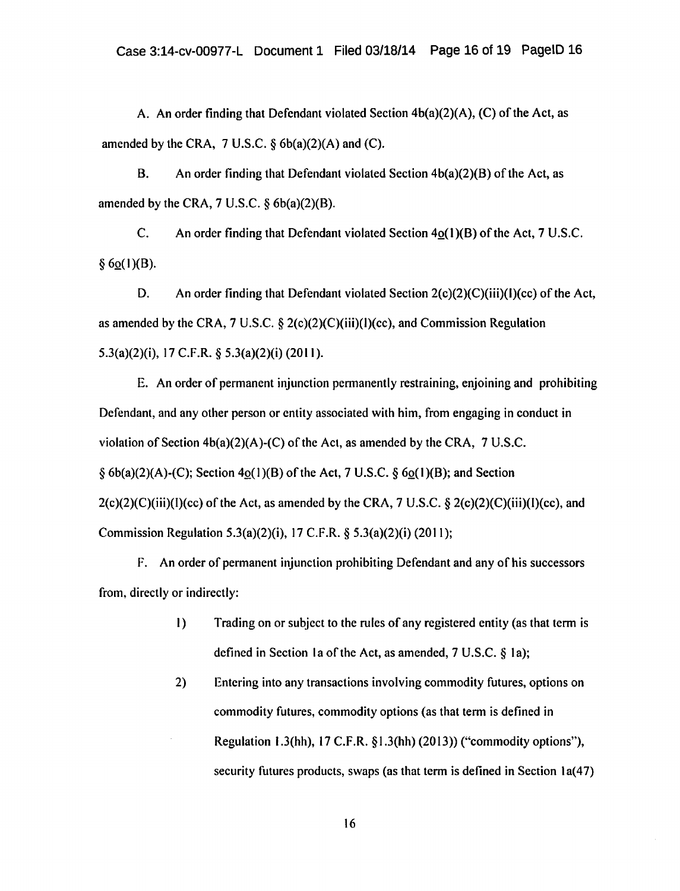A. An order finding that Defendant violated Section 4b(a)(2)(A), (C) of the Act, as amended by the CRA,  $7 \text{ U.S.C.}$  §  $6b(a)(2)(A)$  and (C).

B. An order finding that Defendant violated Section  $4b(a)(2)(B)$  of the Act, as amended by the CRA,  $7 \text{ U.S.C. }$   $\delta$  6b(a)(2)(B).

C. An order finding that Defendant violated Section  $4o(1)(B)$  of the Act, 7 U.S.C.  $§ 6o(1)(B).$ 

D. An order finding that Defendant violated Section 2(c)(2)(C)(iii)(l)(cc) of the Act, as amended by the CRA, 7 U.S.C.  $\S 2(c)(2)(C)(iii)(I)(cc)$ , and Commission Regulation  $5.3(a)(2)(i)$ , 17 C.F.R. §  $5.3(a)(2)(i)$  (2011).

E. An order of permanent injunction permanently restraining, enjoining and prohibiting Defendant, and any other person or entity associated with him, from engaging in conduct in violation of Section  $4b(a)(2)(A)-(C)$  of the Act, as amended by the CRA, 7 U.S.C. *§* 6b(a)(2)(A)-(C); Section 4Q(I)(B) ofthe Act, 7 U.S.C. § 6Q(I)(B); and Section  $2(c)(2)(C)(iii)(I)(cc)$  of the Act, as amended by the CRA, 7 U.S.C. §  $2(c)(2)(C)(iii)(I)(cc)$ , and Commission Regulation 5.3(a)(2)(i), 17 C.F.R. § 5.3(a)(2)(i) (2011);

F. An order of permanent injunction prohibiting Defendant and any of his successors from, directly or indirectly:

- I) Trading on or subject to the rules of any registered entity (as that term is defined in Section 1a of the Act, as amended, 7 U.S.C. § 1a);
- 2) Entering into any transactions involving commodity futures, options on commodity futures, commodity options (as that term is defined in Regulation 1.3(hh), 17 C.F.R. § 1.3(hh) (20 13)) ("commodity options"), security futures products, swaps (as that term is defined in Section 1a(47)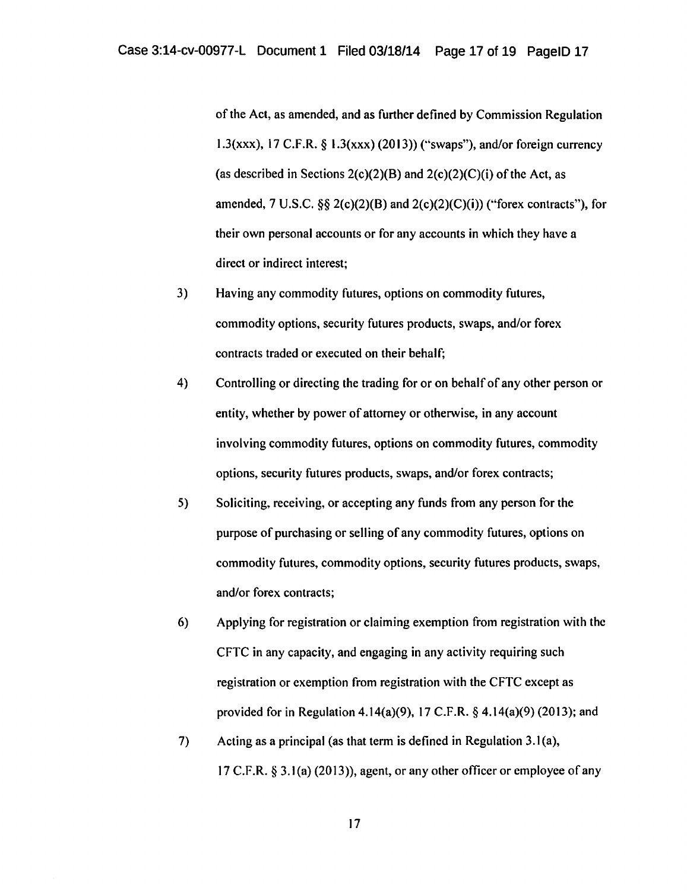of the Act, as amended, and as further defined by Commission Regulation 1.3(xxx), 17 C.F.R. § 1.3(xxx) (2013)) ("swaps"), and/or foreign currency (as described in Sections 2(c)(2)(B) and 2(c)(2)(C)(i) of the Act, as amended, 7 U.S.C.  $\S$ § 2(c)(2)(B) and 2(c)(2)(C)(i)) ("forex contracts"), for their own personal accounts or for any accounts in which they have a direct or indirect interest;

- 3) Having any commodity futures, options on commodity futures, commodity options, security futures products, swaps, and/or forex contracts traded or executed on their behalf;
- 4) Controlling or directing the trading for or on behalf of any other person or entity, whether by power of attorney or otherwise, in any account involving commodity futures, options on commodity futures, commodity options, security futures products, swaps, and/or forex contracts;
- 5) Soliciting, receiving, or accepting any funds from any person for the purpose of purchasing or selling of any commodity futures, options on commodity futures, commodity options, security futures products, swaps, and/or forex contracts;
- 6) Applying for registration or claiming exemption from registration with the CFTC in any capacity, and engaging in any activity requiring such registration or exemption from registration with the CFTC except as provided for in Regulation 4.14(a)(9), 17 C.F.R. § 4.14(a)(9) (2013); and
- 7) Acting as a principal (as that term is defined in Regulation 3.1 (a), 17 C.F.R.  $\S$  3.1(a) (2013)), agent, or any other officer or employee of any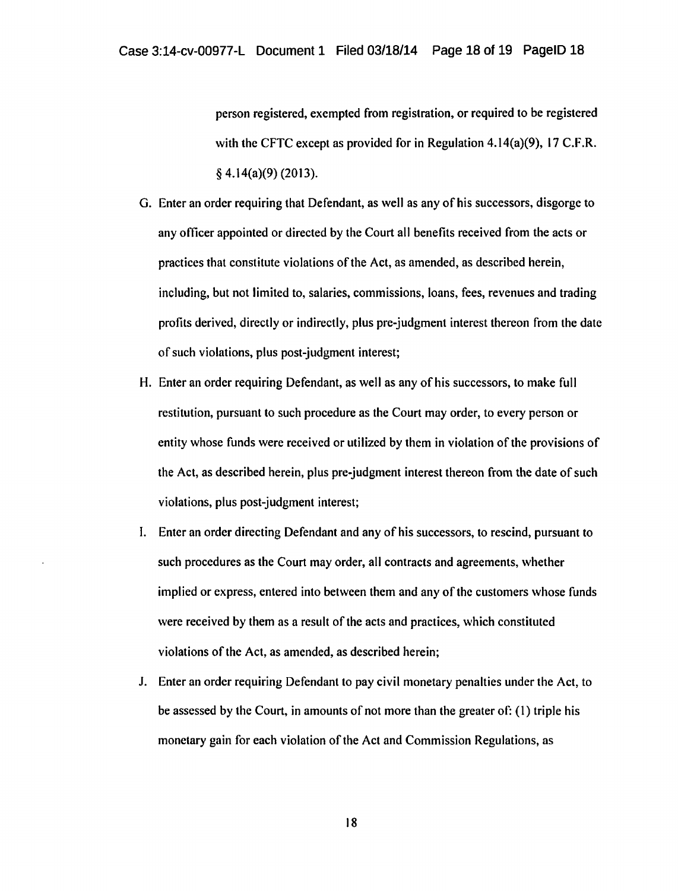person registered, exempted from registration, or required to be registered with the CFTC except as provided for in Regulation 4.14(a)(9), 17 C.F.R. § 4.14(a)(9) (2013).

- G. Enter an order requiring that Defendant, as well as any of his successors, disgorge to any officer appointed or directed by the Court all benefits received from the acts or practices that constitute violations of the Act, as amended, as described herein, including, but not limited to, salaries, commissions, loans, fees, revenues and trading profits derived, directly or indirectly, plus pre-judgment interest thereon from the date of such violations, plus post-judgment interest;
- H. Enter an order requiring Defendant, as well as any of his successors, to make full restitution, pursuant to such procedure as the Court may order, to every person or entity whose funds were received or utilized by them in violation of the provisions of the Act, as described herein, plus pre-judgment interest thereon from the date of such violations, plus post-judgment interest;
- I. Enter an order directing Defendant and any of his successors, to rescind, pursuant to such procedures as the Court may order, all contracts and agreements, whether implied or express, entered into between them and any of the customers whose funds were received by them as a result of the acts and practices, which constituted violations of the Act, as amended, as described herein;
- J. Enter an order requiring Defendant to pay civil monetary penalties under the Act, to be assessed by the Court, in amounts of not more than the greater of: (1) triple his monetary gain for each violation of the Act and Commission Regulations, as